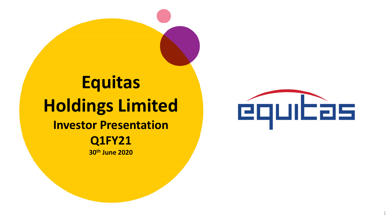## **Equitas Holdings Limited Investor Presentation Q1FY21 30th June 2020**

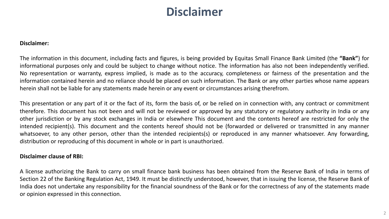### **Disclaimer**

#### **Disclaimer:**

The information in this document, including facts and figures, is being provided by Equitas Small Finance Bank Limited (the **"Bank"**) for informational purposes only and could be subject to change without notice. The information has also not been independently verified. No representation or warranty, express implied, is made as to the accuracy, completeness or fairness of the presentation and the information contained herein and no reliance should be placed on such information. The Bank or any other parties whose name appears herein shall not be liable for any statements made herein or any event or circumstances arising therefrom.

This presentation or any part of it or the fact of its, form the basis of, or be relied on in connection with, any contract or commitment therefore. This document has not been and will not be reviewed or approved by any statutory or regulatory authority in India or any other jurisdiction or by any stock exchanges in India or elsewhere This document and the contents hereof are restricted for only the intended recipient(s). This document and the contents hereof should not be (forwarded or delivered or transmitted in any manner whatsoever, to any other person, other than the intended recipients(s) or reproduced in any manner whatsoever. Any forwarding, distribution or reproducing of this document in whole or in part is unauthorized.

#### **Disclaimer clause of RBI:**

A license authorizing the Bank to carry on small finance bank business has been obtained from the Reserve Bank of India in terms of Section 22 of the Banking Regulation Act, 1949. It must be distinctly understood, however, that in issuing the license, the Reserve Bank of India does not undertake any responsibility for the financial soundness of the Bank or for the correctness of any of the statements made or opinion expressed in this connection.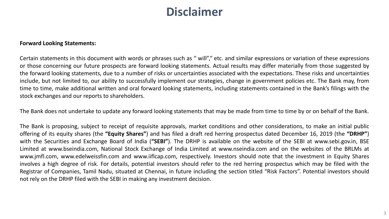### **Disclaimer**

#### **Forward Looking Statements:**

Certain statements in this document with words or phrases such as " will"," etc. and similar expressions or variation of these expressions or those concerning our future prospects are forward looking statements. Actual results may differ materially from those suggested by the forward looking statements, due to a number of risks or uncertainties associated with the expectations. These risks and uncertainties include, but not limited to, our ability to successfully implement our strategies, change in government policies etc. The Bank may, from time to time, make additional written and oral forward looking statements, including statements contained in the Bank's filings with the stock exchanges and our reports to shareholders.

The Bank does not undertake to update any forward looking statements that may be made from time to time by or on behalf of the Bank.

The Bank is proposing, subject to receipt of requisite approvals, market conditions and other considerations, to make an initial public offering of its equity shares (the **"Equity Shares"**) and has filed a draft red herring prospectus dated December 16, 2019 (the **"DRHP"**) with the Securities and Exchange Board of India (**"SEBI"**). The DRHP is available on the website of the SEBI at www.sebi.gov.in, BSE Limited at www.bseindia.com, National Stock Exchange of India Limited at www.nseindia.com and on the websites of the BRLMs at www.jmfl.com, www.edelweissfin.com and www.iiflcap.com, respectively. Investors should note that the investment in Equity Shares involves a high degree of risk. For details, potential investors should refer to the red herring prospectus which may be filed with the Registrar of Companies, Tamil Nadu, situated at Chennai, in future including the section titled "Risk Factors". Potential investors should not rely on the DRHP filed with the SEBI in making any investment decision.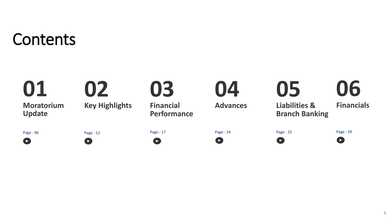# Contents

| 01<br><b>Moratorium</b><br><b>Update</b> | 02<br><b>Key Highlights</b> | 03<br><b>Financial</b><br><b>Performance</b> | 04<br><b>Advances</b> | 05<br><b>Liabilities &amp;</b><br><b>Branch Banking</b> | 06<br><b>Financials</b> |
|------------------------------------------|-----------------------------|----------------------------------------------|-----------------------|---------------------------------------------------------|-------------------------|
| Page: 06                                 | Page: 12                    | Page: 17                                     | Page: 24              | Page: 32                                                | Page: 39                |
| $\overline{\phantom{a}}$                 | $\blacktriangleright$       | $\blacksquare$                               | $\blacksquare$        | $\overline{ }$                                          | $\bullet$               |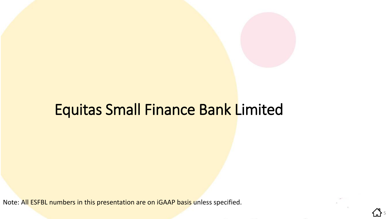

5

## Equitas Small Finance Bank Limited

Note: All ESFBL numbers in this presentation are on iGAAP basis unless specified.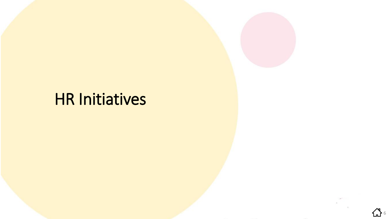# HR Initiatives

公 6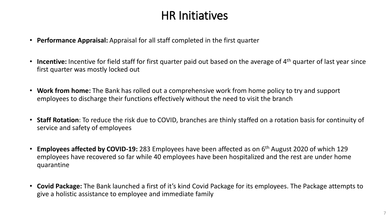### HR Initiatives

- **Performance Appraisal:** Appraisal for all staff completed in the first quarter
- **Incentive:** Incentive for field staff for first quarter paid out based on the average of 4<sup>th</sup> quarter of last year since first quarter was mostly locked out
- **Work from home:** The Bank has rolled out a comprehensive work from home policy to try and support employees to discharge their functions effectively without the need to visit the branch
- **Staff Rotation**: To reduce the risk due to COVID, branches are thinly staffed on a rotation basis for continuity of service and safety of employees
- **Employees affected by COVID-19:** 283 Employees have been affected as on 6th August 2020 of which 129 employees have recovered so far while 40 employees have been hospitalized and the rest are under home quarantine
- **Covid Package:** The Bank launched a first of it's kind Covid Package for its employees. The Package attempts to give a holistic assistance to employee and immediate family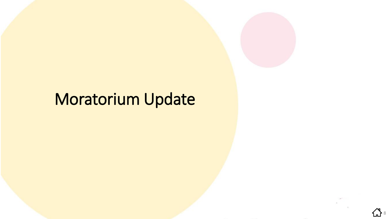## Moratorium Update

᠘᠗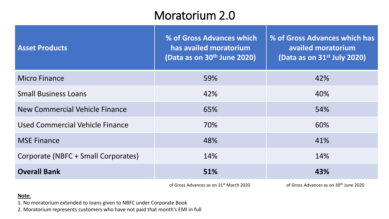### Moratorium 2.0

| <b>Asset Products</b>               | % of Gross Advances which<br>has availed moratorium<br>(Data as on 30 <sup>th</sup> June 2020) | % of Gross Advances which has<br>availed moratorium<br>(Data as on 31 <sup>st</sup> July 2020) |
|-------------------------------------|------------------------------------------------------------------------------------------------|------------------------------------------------------------------------------------------------|
| <b>Micro Finance</b>                | 59%                                                                                            | 42%                                                                                            |
| <b>Small Business Loans</b>         | 42%                                                                                            | 40%                                                                                            |
| New Commercial Vehicle Finance      | 65%                                                                                            | 54%                                                                                            |
| Used Commercial Vehicle Finance     | 70%                                                                                            | 60%                                                                                            |
| <b>MSE Finance</b>                  | 48%                                                                                            | 41%                                                                                            |
| Corporate (NBFC + Small Corporates) | 14%                                                                                            | 14%                                                                                            |
| <b>Overall Bank</b>                 | 51%                                                                                            | 43%                                                                                            |
|                                     | of Gross Advances as an 21st March 2020                                                        | of Gross Advances as an 20th lung 2020                                                         |

of Gross Advances as on 31st March 2020 of Gross Advances as on 30th June 2020

#### **Note:**

1. No moratorium extended to loans given to NBFC under Corporate Book

2. Moratorium represents customers who have not paid that month's EMI in full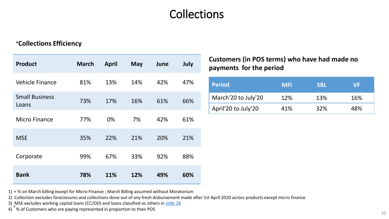### **Collections**

#### **<sup>+</sup>Collections Efficiency**

| <b>Product</b>                 | <b>March</b> | <b>April</b> | <b>May</b> | June | July |
|--------------------------------|--------------|--------------|------------|------|------|
| <b>Vehicle Finance</b>         | 81%          | 13%          | 14%        | 42%  | 47%  |
| <b>Small Business</b><br>Loans | 73%          | 17%          | 16%        | 61%  | 66%  |
| <b>Micro Finance</b>           | 77%          | 0%           | 7%         | 42%  | 61%  |
| <b>MSE</b>                     | 35%          | 22%          | 21%        | 20%  | 21%  |
| Corporate                      | 99%          | 67%          | 33%        | 92%  | 88%  |
| <b>Bank</b>                    | 78%          | 11%          | 12%        | 49%  | 60%  |

**Customers (in POS terms) who have had made no payments for the period**

| <b>Period</b>       | <b>MFI</b> | <b>SBL</b> | VF  |
|---------------------|------------|------------|-----|
| March'20 to July'20 | 12%        | 13%        | 16% |
| April'20 to July'20 | 41%        | 32%        | 48% |

1) + % on March billing except for Micro Finance ; March Billing assumed without Moratorium

2) Collection excludes foreclosures and collections done out of any fresh disbursement made after 1st April 2020 across products except micro finance

3) MSE excludes working capital loans (CC/OD) and loans classified as others in slide 28

4) \*% of Customers who are paying represented in proportion to their POS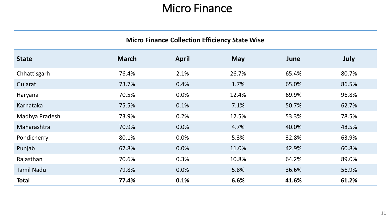#### Micro Finance

| <b>Micro Finance Collection Efficiency State Wise</b> |              |              |            |       |       |  |
|-------------------------------------------------------|--------------|--------------|------------|-------|-------|--|
| <b>State</b>                                          | <b>March</b> | <b>April</b> | <b>May</b> | June  | July  |  |
| Chhattisgarh                                          | 76.4%        | 2.1%         | 26.7%      | 65.4% | 80.7% |  |
| Gujarat                                               | 73.7%        | 0.4%         | 1.7%       | 65.0% | 86.5% |  |
| Haryana                                               | 70.5%        | 0.0%         | 12.4%      | 69.9% | 96.8% |  |
| Karnataka                                             | 75.5%        | 0.1%         | 7.1%       | 50.7% | 62.7% |  |
| Madhya Pradesh                                        | 73.9%        | 0.2%         | 12.5%      | 53.3% | 78.5% |  |
| Maharashtra                                           | 70.9%        | 0.0%         | 4.7%       | 40.0% | 48.5% |  |
| Pondicherry                                           | 80.1%        | 0.0%         | 5.3%       | 32.8% | 63.9% |  |
| Punjab                                                | 67.8%        | 0.0%         | 11.0%      | 42.9% | 60.8% |  |
| Rajasthan                                             | 70.6%        | 0.3%         | 10.8%      | 64.2% | 89.0% |  |
| <b>Tamil Nadu</b>                                     | 79.8%        | 0.0%         | 5.8%       | 36.6% | 56.9% |  |
| <b>Total</b>                                          | 77.4%        | 0.1%         | 6.6%       | 41.6% | 61.2% |  |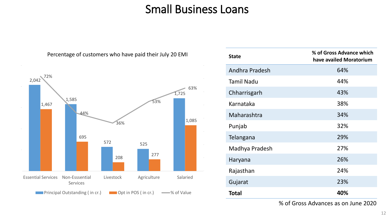### Small Business Loans



#### **State % of Gross Advance which have availed Moratorium** Andhra Pradesh 64% Tamil Nadu 44% Chharrisgarh 43% Karnataka 38% Maharashtra 34% Punjab 32% Telangana 29% Madhya Pradesh 27% Haryana 26% Rajasthan 24% Gujarat 23% **Total 40%**

% of Gross Advances as on June 2020

#### Percentage of customers who have paid their July 20 EMI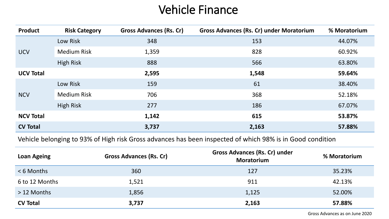### Vehicle Finance

| <b>Product</b>   | <b>Risk Category</b> | <b>Gross Advances (Rs. Cr)</b> | <b>Gross Advances (Rs. Cr) under Moratorium</b> | % Moratorium |
|------------------|----------------------|--------------------------------|-------------------------------------------------|--------------|
|                  | Low Risk             | 348                            | 153                                             | 44.07%       |
| <b>UCV</b>       | <b>Medium Risk</b>   | 1,359                          | 828                                             | 60.92%       |
|                  | <b>High Risk</b>     | 888                            | 566                                             | 63.80%       |
| <b>UCV Total</b> |                      | 2,595                          | 1,548                                           | 59.64%       |
|                  | Low Risk             | 159                            | 61                                              | 38.40%       |
| <b>NCV</b>       | <b>Medium Risk</b>   | 706                            | 368                                             | 52.18%       |
|                  | <b>High Risk</b>     | 277                            | 186                                             | 67.07%       |
| <b>NCV Total</b> |                      | 1,142                          | 615                                             | 53.87%       |
| <b>CV Total</b>  |                      | 3,737                          | 2,163                                           | 57.88%       |

Vehicle belonging to 93% of High risk Gross advances has been inspected of which 98% is in Good condition

| <b>Loan Ageing</b> | <b>Gross Advances (Rs. Cr)</b> | Gross Advances (Rs. Cr) under<br><b>Moratorium</b> | % Moratorium |
|--------------------|--------------------------------|----------------------------------------------------|--------------|
| <6 Months          | 360                            | 127                                                | 35.23%       |
| 6 to 12 Months     | 1,521                          | 911                                                | 42.13%       |
| $>12$ Months       | 1,856                          | 1,125                                              | 52.00%       |
| <b>CV Total</b>    | 3,737                          | 2,163                                              | 57.88%       |

Gross Advances as on June 2020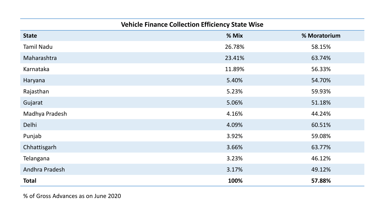| <b>Vehicle Finance Collection Efficiency State Wise</b> |  |  |  |  |
|---------------------------------------------------------|--|--|--|--|
|---------------------------------------------------------|--|--|--|--|

| <b>State</b>      | % Mix  | % Moratorium |
|-------------------|--------|--------------|
| <b>Tamil Nadu</b> | 26.78% | 58.15%       |
| Maharashtra       | 23.41% | 63.74%       |
| Karnataka         | 11.89% | 56.33%       |
| Haryana           | 5.40%  | 54.70%       |
| Rajasthan         | 5.23%  | 59.93%       |
| Gujarat           | 5.06%  | 51.18%       |
| Madhya Pradesh    | 4.16%  | 44.24%       |
| Delhi             | 4.09%  | 60.51%       |
| Punjab            | 3.92%  | 59.08%       |
| Chhattisgarh      | 3.66%  | 63.77%       |
| Telangana         | 3.23%  | 46.12%       |
| Andhra Pradesh    | 3.17%  | 49.12%       |
| <b>Total</b>      | 100%   | 57.88%       |

% of Gross Advances as on June 2020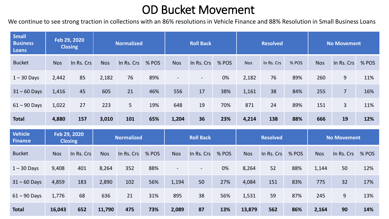### OD Bucket Movement

We continue to see strong traction in collections with an 86% resolutions in Vehicle Finance and 88% Resolution in Small Business Loans

| <b>Small</b><br><b>Business</b><br><b>Loans</b> |            | Feb 29, 2020<br><b>Closing</b> |            | <b>Normalized</b> |       |                          | <b>Roll Back</b>  |       |            | <b>Resolved</b> |       |            | <b>No Movement</b> |       |
|-------------------------------------------------|------------|--------------------------------|------------|-------------------|-------|--------------------------|-------------------|-------|------------|-----------------|-------|------------|--------------------|-------|
| <b>Bucket</b>                                   | <b>Nos</b> | In Rs. Crs                     | <b>Nos</b> | In Rs. Crs        | % POS | <b>Nos</b>               | In Rs. Crs        | % POS | <b>Nos</b> | In Rs. Crs      | % POS | <b>Nos</b> | In Rs. Crs         | % POS |
| $1 - 30$ Days                                   | 2,442      | 85                             | 2,182      | 76                | 89%   | $\overline{\phantom{a}}$ | $\qquad \qquad -$ | 0%    | 2,182      | 76              | 89%   | 260        | 9                  | 11%   |
| $31 - 60$ Days                                  | 1,416      | 45                             | 605        | 21                | 46%   | 556                      | 17                | 38%   | 1,161      | 38              | 84%   | 255        | $\overline{7}$     | 16%   |
| $61 - 90$ Days                                  | 1,022      | 27                             | 223        | 5                 | 19%   | 648                      | 19                | 70%   | 871        | 24              | 89%   | 151        | $\overline{3}$     | 11%   |
| <b>Total</b>                                    | 4,880      | 157                            | 3,010      | 101               | 65%   | 1,204                    | 36                | 23%   | 4,214      | 138             | 88%   | 666        | 19                 | 12%   |
|                                                 |            | Feb 29, 2020                   |            |                   |       |                          |                   |       |            |                 |       |            |                    |       |
| <b>Vehicle</b><br><b>Finance</b>                |            | <b>Closing</b>                 |            | <b>Normalized</b> |       |                          | <b>Roll Back</b>  |       |            | <b>Resolved</b> |       |            | <b>No Movement</b> |       |
| <b>Bucket</b>                                   | <b>Nos</b> | In Rs. Crs                     | <b>Nos</b> | In Rs. Crs        | % POS | <b>Nos</b>               | In Rs. Crs        | % POS | <b>Nos</b> | In Rs. Crs      | % POS | <b>Nos</b> | In Rs. Crs         | % POS |
| $1 - 30$ Days                                   | 9,408      | 401                            | 8,264      | 352               | 88%   | $\overline{\phantom{a}}$ |                   | 0%    | 8,264      | 52              | 88%   | 1,144      | 50                 | 12%   |
| $31 - 60$ Days                                  | 4,859      | 183                            | 2,890      | 102               | 56%   | 1,194                    | 50                | 27%   | 4,084      | 151             | 83%   | 775        | 32                 | 17%   |
| $61 - 90$ Days                                  | 1,776      | 68                             | 636        | 21                | 31%   | 895                      | 38                | 56%   | 1,531      | 59              | 87%   | 245        | 9                  | 13%   |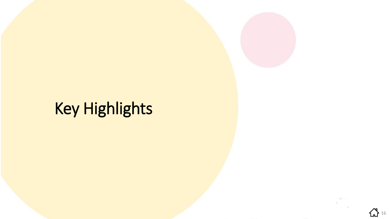# Key Highlights

**16**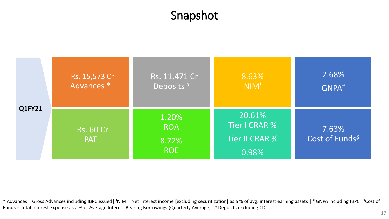### Snapshot



\* Advances = Gross Advances including IBPC issued| 'NIM = Net interest income [excluding securitization] as a % of avg. interest earning assets | # GNPA including IBPC | \$Cost of Funds = Total Interest Expense as a % of Average Interest Bearing Borrowings (Quarterly Average)| # Deposits excluding CD's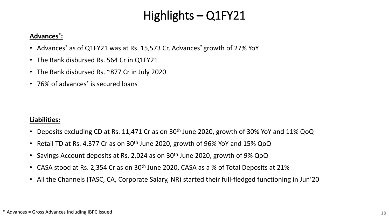### Highlights – Q1FY21

#### **Advances\* :**

- Advances\* as of Q1FY21 was at Rs. 15,573 Cr, Advances\* growth of 27% YoY
- The Bank disbursed Rs. 564 Cr in Q1FY21
- The Bank disbursed Rs. ~877 Cr in July 2020
- 76% of advances<sup>\*</sup> is secured loans

#### **Liabilities:**

- Deposits excluding CD at Rs. 11,471 Cr as on  $30<sup>th</sup>$  June 2020, growth of 30% YoY and 11% QoQ
- Retail TD at Rs. 4,377 Cr as on  $30<sup>th</sup>$  June 2020, growth of 96% YoY and 15% QoQ
- Savings Account deposits at Rs. 2,024 as on 30th June 2020, growth of 9% QoQ
- CASA stood at Rs. 2,354 Cr as on 30<sup>th</sup> June 2020, CASA as a % of Total Deposits at 21%
- All the Channels (TASC, CA, Corporate Salary, NR) started their full-fledged functioning in Jun'20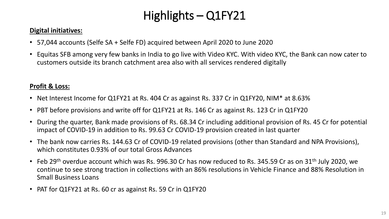### Highlights – Q1FY21

#### **Digital initiatives:**

- 57,044 accounts (Selfe SA + Selfe FD) acquired between April 2020 to June 2020
- Equitas SFB among very few banks in India to go live with Video KYC. With video KYC, the Bank can now cater to customers outside its branch catchment area also with all services rendered digitally

#### **Profit & Loss:**

- Net Interest Income for Q1FY21 at Rs. 404 Cr as against Rs. 337 Cr in Q1FY20, NIM\* at 8.63%
- PBT before provisions and write off for Q1FY21 at Rs. 146 Cr as against Rs. 123 Cr in Q1FY20
- During the quarter, Bank made provisions of Rs. 68.34 Cr including additional provision of Rs. 45 Cr for potential impact of COVID-19 in addition to Rs. 99.63 Cr COVID-19 provision created in last quarter
- The bank now carries Rs. 144.63 Cr of COVID-19 related provisions (other than Standard and NPA Provisions), which constitutes 0.93% of our total Gross Advances
- Feb 29<sup>th</sup> overdue account which was Rs. 996.30 Cr has now reduced to Rs. 345.59 Cr as on 31<sup>th</sup> July 2020, we continue to see strong traction in collections with an 86% resolutions in Vehicle Finance and 88% Resolution in Small Business Loans
- PAT for Q1FY21 at Rs. 60 cr as against Rs. 59 Cr in Q1FY20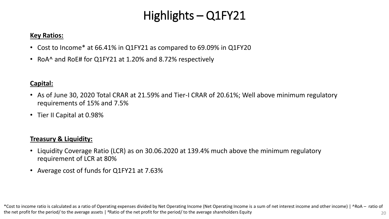### Highlights – Q1FY21

#### **Key Ratios:**

- Cost to Income\* at 66.41% in Q1FY21 as compared to 69.09% in Q1FY20
- RoA^ and RoE# for Q1FY21 at 1.20% and 8.72% respectively

#### **Capital:**

- As of June 30, 2020 Total CRAR at 21.59% and Tier-I CRAR of 20.61%; Well above minimum regulatory requirements of 15% and 7.5%
- Tier II Capital at 0.98%

#### **Treasury & Liquidity:**

- Liquidity Coverage Ratio (LCR) as on 30.06.2020 at 139.4% much above the minimum regulatory requirement of LCR at 80%
- Average cost of funds for Q1FY21 at 7.63%

\*Cost to income ratio is calculated as a ratio of Operating expenses divided by Net Operating Income (Net Operating Income is a sum of net interest income and other income) | ^RoA – ratio of the net profit for the period/ to the average assets | #Ratio of the net profit for the period/ to the average shareholders Equity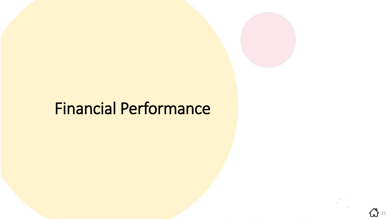## Financial Performance

 $\sum$  21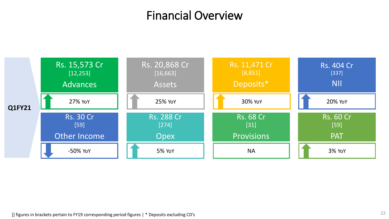### Financial Overview

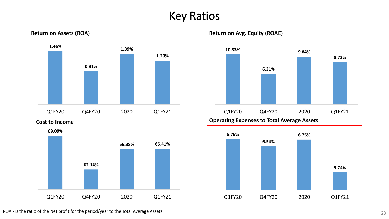### Key Ratios





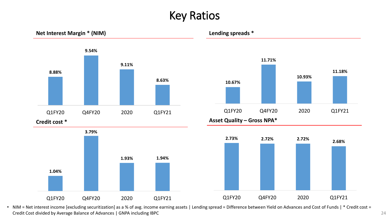### Key Ratios



• NIM = Net interest income [excluding securitization] as a % of avg. income earning assets | Lending spread = Difference between Yield on Advances and Cost of Funds | \* Credit cost = Credit Cost divided by Average Balance of Advances | GNPA including IBPC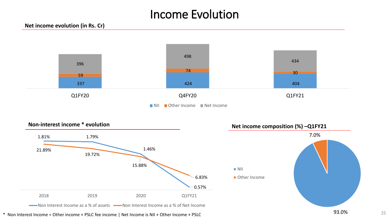### Income Evolution



**NII Other Income** Net Income

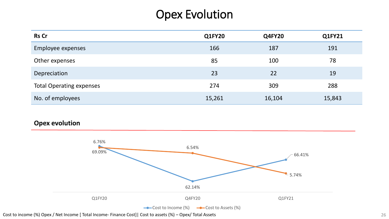### Opex Evolution

| <b>Rs Cr</b>                    | <b>Q1FY20</b> | <b>Q4FY20</b> | Q1FY21 |
|---------------------------------|---------------|---------------|--------|
| Employee expenses               | 166           | 187           | 191    |
| Other expenses                  | 85            | 100           | 78     |
| Depreciation                    | 23            | 22            | 19     |
| <b>Total Operating expenses</b> | 274           | 309           | 288    |
| No. of employees                | 15,261        | 16,104        | 15,843 |

#### **Opex evolution**



Cost to income (%) Opex / Net Income [ Total Income- Finance Cost]| Cost to assets (%) – Opex/ Total Assets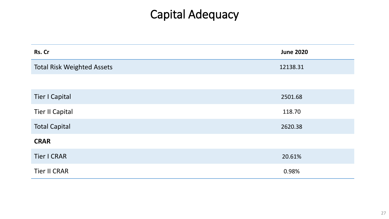## Capital Adequacy

| Rs. Cr                            | <b>June 2020</b> |
|-----------------------------------|------------------|
| <b>Total Risk Weighted Assets</b> | 12138.31         |
|                                   |                  |
| <b>Tier I Capital</b>             | 2501.68          |
| <b>Tier II Capital</b>            | 118.70           |
| <b>Total Capital</b>              | 2620.38          |
| <b>CRAR</b>                       |                  |
| <b>Tier I CRAR</b>                | 20.61%           |
| <b>Tier II CRAR</b>               | 0.98%            |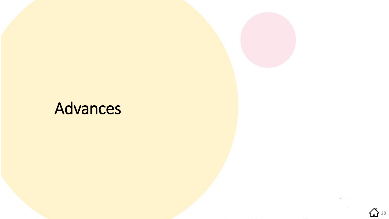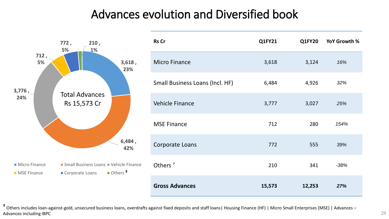### Advances evolution and Diversified book



**†** Others includes loan-against-gold, unsecured business loans, overdrafts against fixed deposits and staff loans| Housing Finance (HF) | Micro Small Enterprises (MSE) | Advances – Advances including IBPC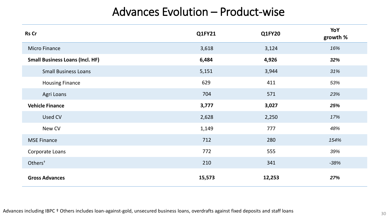### Advances Evolution – Product-wise

| <b>Rs Cr</b>                           | <b>Q1FY21</b> | <b>Q1FY20</b> | YoY<br>growth % |
|----------------------------------------|---------------|---------------|-----------------|
| <b>Micro Finance</b>                   | 3,618         | 3,124         | 16%             |
| <b>Small Business Loans (Incl. HF)</b> | 6,484         | 4,926         | 32%             |
| <b>Small Business Loans</b>            | 5,151         | 3,944         | 31%             |
| <b>Housing Finance</b>                 | 629           | 411           | 53%             |
| Agri Loans                             | 704           | 571           | 23%             |
| <b>Vehicle Finance</b>                 | 3,777         | 3,027         | 25%             |
| Used CV                                | 2,628         | 2,250         | 17%             |
| New CV                                 | 1,149         | 777           | 48%             |
| <b>MSE Finance</b>                     | 712           | 280           | 154%            |
| Corporate Loans                        | 772           | 555           | 39%             |
| Others <sup>+</sup>                    | 210           | 341           | $-38%$          |
| <b>Gross Advances</b>                  | 15,573        | 12,253        | 27%             |

Advances including IBPC † Others includes loan-against-gold, unsecured business loans, overdrafts against fixed deposits and staff loans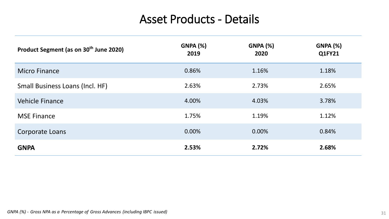### Asset Products - Details

| Product Segment (as on 30 <sup>th</sup> June 2020) | <b>GNPA (%)</b><br>2019 | <b>GNPA (%)</b><br>2020 | <b>GNPA (%)</b><br>Q1FY21 |
|----------------------------------------------------|-------------------------|-------------------------|---------------------------|
| <b>Micro Finance</b>                               | 0.86%                   | 1.16%                   | 1.18%                     |
| Small Business Loans (Incl. HF)                    | 2.63%                   | 2.73%                   | 2.65%                     |
| <b>Vehicle Finance</b>                             | 4.00%                   | 4.03%                   | 3.78%                     |
| <b>MSE Finance</b>                                 | 1.75%                   | 1.19%                   | 1.12%                     |
| <b>Corporate Loans</b>                             | 0.00%                   | 0.00%                   | 0.84%                     |
| <b>GNPA</b>                                        | 2.53%                   | 2.72%                   | 2.68%                     |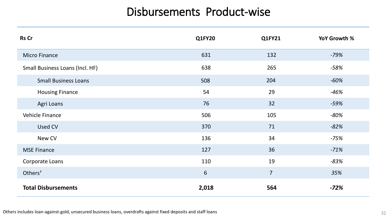### Disbursements Product-wise

| <b>Rs Cr</b>                    | <b>Q1FY20</b> | <b>Q1FY21</b>  | YoY Growth % |
|---------------------------------|---------------|----------------|--------------|
| <b>Micro Finance</b>            | 631           | 132            | $-79%$       |
| Small Business Loans (Incl. HF) | 638           | 265            | $-58%$       |
| <b>Small Business Loans</b>     | 508           | 204            | $-60%$       |
| <b>Housing Finance</b>          | 54            | 29             | $-46%$       |
| Agri Loans                      | 76            | 32             | $-59%$       |
| Vehicle Finance                 | 506           | 105            | $-80%$       |
| Used CV                         | 370           | 71             | $-82%$       |
| New CV                          | 136           | 34             | $-75%$       |
| <b>MSE Finance</b>              | 127           | 36             | $-71%$       |
| Corporate Loans                 | 110           | 19             | $-83%$       |
| Others <sup>+</sup>             | 6             | $\overline{7}$ | 35%          |
| <b>Total Disbursements</b>      | 2,018         | 564            | $-72%$       |

Others includes loan-against-gold, unsecured business loans, overdrafts against fixed deposits and staff loans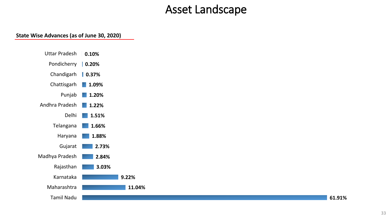#### Asset Landscape

#### **State Wise Advances (as of June 30, 2020)**



**11.04%**

**61.91%**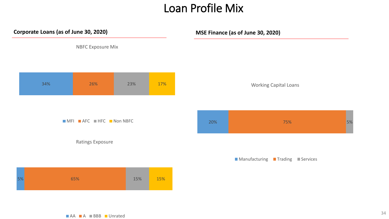#### Loan Profile Mix



NBFC Exposure Mix



Working Capital Loans



| ■ Manufacturing | Trading | Services |
|-----------------|---------|----------|
|-----------------|---------|----------|

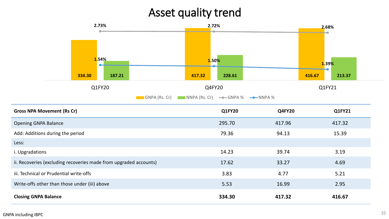### Asset quality trend



| <b>Gross NPA Movement (Rs Cr)</b>                                 | <b>Q1FY20</b> | <b>Q4FY20</b> | Q1FY21 |
|-------------------------------------------------------------------|---------------|---------------|--------|
| <b>Opening GNPA Balance</b>                                       | 295.70        | 417.96        | 417.32 |
| Add: Additions during the period                                  | 79.36         | 94.13         | 15.39  |
| Less:                                                             |               |               |        |
| i. Upgradations                                                   | 14.23         | 39.74         | 3.19   |
| ii. Recoveries (excluding recoveries made from upgraded accounts) | 17.62         | 33.27         | 4.69   |
| iii. Technical or Prudential write-offs                           | 3.83          | 4.77          | 5.21   |
| Write-offs other than those under (iii) above                     | 5.53          | 16.99         | 2.95   |
| <b>Closing GNPA Balance</b>                                       | 334.30        | 417.32        | 416.67 |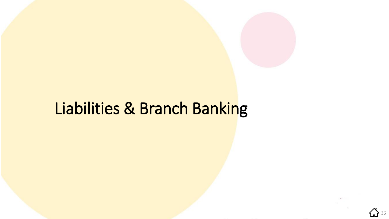

**{}** 36

# Liabilities & Branch Banking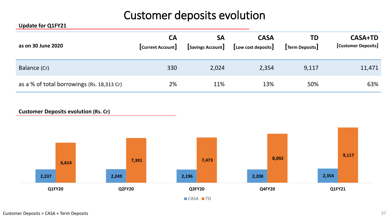### Customer deposits evolution

#### **Update for Q1FY21**

| as on 30 June 2020                         | <b>CA</b><br>[Current Account] | <b>SA</b><br>Savings Account | <b>CASA</b><br>[Low cost deposits] | TD<br>Term Deposits | <b>CASA+TD</b><br>[Customer Deposits] |
|--------------------------------------------|--------------------------------|------------------------------|------------------------------------|---------------------|---------------------------------------|
| Balance (Cr)                               | 330                            | 2,024                        | 2,354                              | 9,117               | 11,471                                |
| as a % of total borrowings (Rs. 18,313 Cr) | 2%                             | 11%                          | 13%                                | 50%                 | 63%                                   |

#### **Customer Deposits evolution (Rs. Cr)**

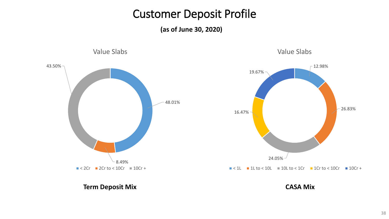#### Customer Deposit Profile

**(as of June 30, 2020)**



#### **Term Deposit Mix CASA Mix**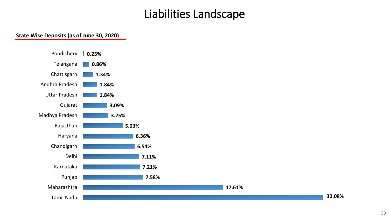#### Liabilities Landscape

**17.61%**

#### **State Wise Deposits (as of June 30, 2020)**



**30.08%**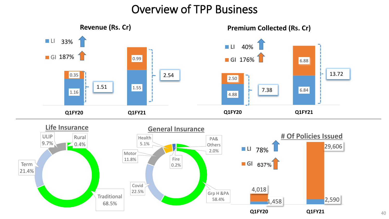#### Overview of TPP Business

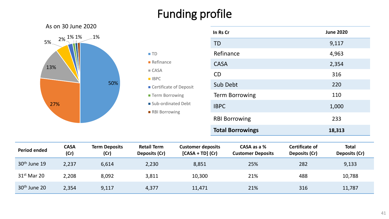## Funding profile

■ TD

■ CASA

■ IBPC

**Refinance** 

■ Certificate of Deposit

■ Sub-ordinated Debt

**Term Borrowing** 

■ RBI Borrowing



| In Rs Cr                | <b>June 2020</b> |
|-------------------------|------------------|
| <b>TD</b>               | 9,117            |
| Refinance               | 4,963            |
| <b>CASA</b>             | 2,354            |
| <b>CD</b>               | 316              |
| Sub Debt                | 220              |
| <b>Term Borrowing</b>   | 110              |
| <b>IBPC</b>             | 1,000            |
| <b>RBI Borrowing</b>    | 233              |
| <b>Total Borrowings</b> | 18,313           |

| <b>Period ended</b> | <b>CASA</b><br>(Cr) | <b>Term Deposits</b><br>(Cr) | <b>Retail Term</b><br>Deposits (Cr) | <b>Customer deposits</b><br>$[CASA + TD] (Cr)$ | CASA as a %<br><b>Customer Deposits</b> | Certificate of<br>Deposits (Cr) | <b>Total</b><br>Deposits (Cr) |
|---------------------|---------------------|------------------------------|-------------------------------------|------------------------------------------------|-----------------------------------------|---------------------------------|-------------------------------|
| $30th$ June 19      | 2,237               | 6,614                        | 2,230                               | 8,851                                          | 25%                                     | 282                             | 9,133                         |
| $31st$ Mar 20       | 2,208               | 8,092                        | 3,811                               | 10,300                                         | 21%                                     | 488                             | 10,788                        |
| $30th$ June 20      | 2,354               | 9,117                        | 4,377                               | 11,471                                         | 21%                                     | 316                             | 11,787                        |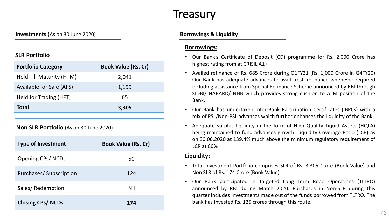#### **Treasury**

**Investments** (As on 30 June 2020) **Borrowings & Liquidity** 

#### **SLR Portfolio**

| <b>Portfolio Category</b> | <b>Book Value (Rs. Cr)</b> |
|---------------------------|----------------------------|
| Held Till Maturity (HTM)  | 2,041                      |
| Available for Sale (AFS)  | 1,199                      |
| Held for Trading (HFT)    | 65                         |
| <b>Total</b>              | 3,305                      |

#### **Non SLR Portfolio** (As on 30 June 2020)

| <b>Type of Investment</b>     | <b>Book Value (Rs. Cr)</b> |
|-------------------------------|----------------------------|
| <b>Opening CPs/NCDs</b>       | 50                         |
| <b>Purchases/Subscription</b> | 124                        |
| Sales/Redemption              | Nil                        |
| <b>Closing CPs/NCDs</b>       | 174                        |

#### **Borrowings:**

- Our Bank's Certificate of Deposit (CD) programme for Rs. 2,000 Crore has highest rating from at CRISIL A1+
- Availed refinance of Rs. 685 Crore during Q1FY21 (Rs. 1,000 Crore in Q4FY20) Our Bank has adequate advances to avail fresh refinance whenever required including assistance from Special Refinance Scheme announced by RBI through SIDBI/ NABARD/ NHB which provides strong cushion to ALM position of the Bank.
- Our Bank has undertaken Inter-Bank Participation Certificates (IBPCs) with a mix of PSL/Non-PSL advances which further enhances the liquidity of the Bank
- Adequate surplus liquidity in the form of High Quality Liquid Assets (HQLA) being maintained to fund advances growth. Liquidity Coverage Ratio (LCR) as on 30.06.2020 at 139.4% much above the minimum regulatory requirement of LCR at 80%

#### **Liquidity:**

- Total Investment Portfolio comprises SLR of Rs. 3,305 Crore (Book Value) and Non SLR of Rs. 174 Crore (Book Value).
- Our Bank participated in Targeted Long Term Repo Operations (TLTRO) announced by RBI during March 2020. Purchases in Non-SLR during this quarter includes Investments made out of the funds borrowed from TLTRO. The bank has invested Rs. 125 crores through this route.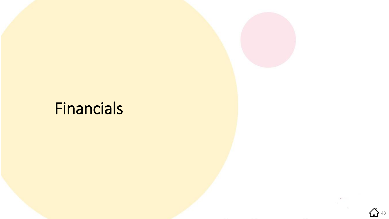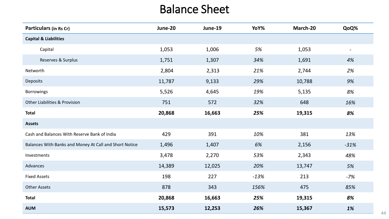### Balance Sheet

| Particulars (in Rs Cr)                                 | June-20 | June-19 | YoY%   | March-20 | QoQ%                     |
|--------------------------------------------------------|---------|---------|--------|----------|--------------------------|
| <b>Capital &amp; Liabilities</b>                       |         |         |        |          |                          |
| Capital                                                | 1,053   | 1,006   | 5%     | 1,053    | $\overline{\phantom{a}}$ |
| Reserves & Surplus                                     | 1,751   | 1,307   | 34%    | 1,691    | 4%                       |
| Networth                                               | 2,804   | 2,313   | 21%    | 2,744    | 2%                       |
| Deposits                                               | 11,787  | 9,133   | 29%    | 10,788   | 9%                       |
| <b>Borrowings</b>                                      | 5,526   | 4,645   | 19%    | 5,135    | 8%                       |
| <b>Other Liabilities &amp; Provision</b>               | 751     | 572     | 32%    | 648      | 16%                      |
| <b>Total</b>                                           | 20,868  | 16,663  | 25%    | 19,315   | 8%                       |
| <b>Assets</b>                                          |         |         |        |          |                          |
| Cash and Balances With Reserve Bank of India           | 429     | 391     | 10%    | 381      | 13%                      |
| Balances With Banks and Money At Call and Short Notice | 1,496   | 1,407   | 6%     | 2,156    | $-31%$                   |
| Investments                                            | 3,478   | 2,270   | 53%    | 2,343    | 48%                      |
| Advances                                               | 14,389  | 12,025  | 20%    | 13,747   | 5%                       |
| <b>Fixed Assets</b>                                    | 198     | 227     | $-13%$ | 213      | $-7%$                    |
| <b>Other Assets</b>                                    | 878     | 343     | 156%   | 475      | 85%                      |
| <b>Total</b>                                           | 20,868  | 16,663  | 25%    | 19,315   | 8%                       |
| <b>AUM</b>                                             | 15,573  | 12,253  | 26%    | 15,367   | 1%                       |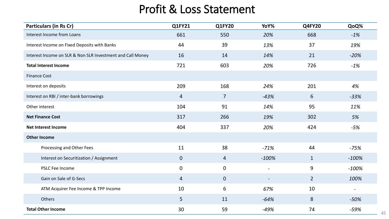### Profit & Loss Statement

| <b>Particulars (in Rs Cr)</b>                              | Q1FY21         | <b>Q1FY20</b>  | YoY%                     | <b>Q4FY20</b>  | QoQ%                     |
|------------------------------------------------------------|----------------|----------------|--------------------------|----------------|--------------------------|
| Interest Income from Loans                                 | 661            | 550            | 20%                      | 668            | $-1%$                    |
| Interest Income on Fixed Deposits with Banks               | 44             | 39             | 13%                      | 37             | 19%                      |
| Interest Income on SLR & Non SLR Investment and Call Money | 16             | 14             | 14%                      | 21             | $-20%$                   |
| <b>Total Interest Income</b>                               | 721            | 603            | 20%                      | 726            | $-1%$                    |
| <b>Finance Cost</b>                                        |                |                |                          |                |                          |
| Interest on deposits                                       | 209            | 168            | 24%                      | 201            | 4%                       |
| Interest on RBI / inter-bank borrowings                    | $\overline{4}$ | $\overline{7}$ | $-43%$                   | 6              | $-33%$                   |
| Other interest                                             | 104            | 91             | 14%                      | 95             | 11%                      |
| <b>Net Finance Cost</b>                                    | 317            | 266            | 19%                      | 302            | 5%                       |
| <b>Net Interest Income</b>                                 | 404            | 337            | 20%                      | 424            | $-5%$                    |
| <b>Other Income</b>                                        |                |                |                          |                |                          |
| Processing and Other Fees                                  | 11             | 38             | $-71%$                   | 44             | $-75%$                   |
| Interest on Securitization / Assignment                    | $\mathbf 0$    | $\overline{4}$ | $-100%$                  | $\mathbf{1}$   | $-100%$                  |
| PSLC Fee Income                                            | 0              | $\mathbf 0$    | $\overline{\phantom{a}}$ | 9              | $-100%$                  |
| Gain on Sale of G-Secs                                     | $\overline{4}$ | $\overline{0}$ | $\overline{\phantom{a}}$ | $\overline{2}$ | 100%                     |
| ATM Acquirer Fee Income & TPP Income                       | 10             | 6              | 67%                      | 10             | $\overline{\phantom{a}}$ |
| Others                                                     | 5              | 11             | $-64%$                   | 8              | $-50%$                   |
| <b>Total Other Income</b>                                  | 30             | 59             | $-49%$                   | 74             | $-59%$                   |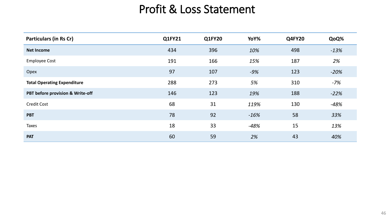#### Profit & Loss Statement

| <b>Particulars (in Rs Cr)</b>      | <b>Q1FY21</b> | <b>Q1FY20</b> | YoY%   | <b>Q4FY20</b> | QoQ%   |
|------------------------------------|---------------|---------------|--------|---------------|--------|
| <b>Net Income</b>                  | 434           | 396           | 10%    | 498           | $-13%$ |
| <b>Employee Cost</b>               | 191           | 166           | 15%    | 187           | 2%     |
| Opex                               | 97            | 107           | $-9%$  | 123           | $-20%$ |
| <b>Total Operating Expenditure</b> | 288           | 273           | 5%     | 310           | $-7%$  |
| PBT before provision & Write-off   | 146           | 123           | 19%    | 188           | $-22%$ |
| <b>Credit Cost</b>                 | 68            | 31            | 119%   | 130           | $-48%$ |
| <b>PBT</b>                         | 78            | 92            | $-16%$ | 58            | 33%    |
| Taxes                              | 18            | 33            | $-48%$ | 15            | 13%    |
| <b>PAT</b>                         | 60            | 59            | 2%     | 43            | 40%    |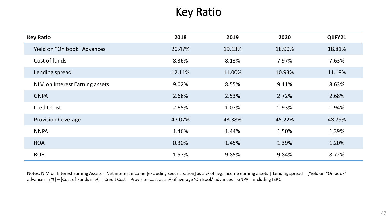### Key Ratio

| <b>Key Ratio</b>               | 2018   | 2019   | 2020   | Q1FY21 |
|--------------------------------|--------|--------|--------|--------|
| Yield on "On book" Advances    | 20.47% | 19.13% | 18.90% | 18.81% |
| Cost of funds                  | 8.36%  | 8.13%  | 7.97%  | 7.63%  |
| Lending spread                 | 12.11% | 11.00% | 10.93% | 11.18% |
| NIM on Interest Earning assets | 9.02%  | 8.55%  | 9.11%  | 8.63%  |
| <b>GNPA</b>                    | 2.68%  | 2.53%  | 2.72%  | 2.68%  |
| <b>Credit Cost</b>             | 2.65%  | 1.07%  | 1.93%  | 1.94%  |
| <b>Provision Coverage</b>      | 47.07% | 43.38% | 45.22% | 48.79% |
| <b>NNPA</b>                    | 1.46%  | 1.44%  | 1.50%  | 1.39%  |
| <b>ROA</b>                     | 0.30%  | 1.45%  | 1.39%  | 1.20%  |
| <b>ROE</b>                     | 1.57%  | 9.85%  | 9.84%  | 8.72%  |

Notes: NIM on Interest Earning Assets = Net interest income [excluding securitization] as a % of avg. income earning assets | Lending spread = [Yield on "On book" advances in %] – [Cost of Funds in %] | Credit Cost = Provision cost as a % of average 'On Book' advances | GNPA = including IBPC